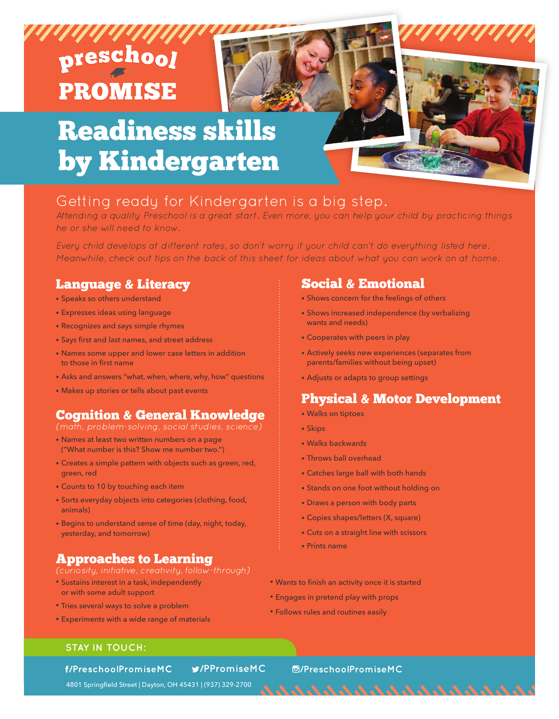# preschool **PROMISE**

## Readiness skills by Kindergarten

## Getting ready for Kindergarten is a big step.

Attending a quality Preschool is a great start. Even more, you can help your child by practicing things he or she will need to know.

Every child develops at different rates, so don't worry if your child can't do everything listed here. Meanwhile, check out tips on the back of this sheet for ideas about what you can work on at home.

## Language & Literacy

- Speaks so others understand
- Expresses ideas using language
- Recognizes and says simple rhymes
- Says first and last names, and street address
- Names some upper and lower case letters in addition to those in first name
- Asks and answers "what, when, where, why, how" questions
- Makes up stories or tells about past events

## Cognition & General Knowledge

(math, problem-solving, social studies, science)

- Names at least two written numbers on a page ("What number is this? Show me number two.")
- Creates a simple pattern with objects such as green, red, green, red
- Counts to 10 by touching each item
- Sorts everyday objects into categories (clothing, food, animals)
- Begins to understand sense of time (day, night, today, yesterday, and tomorrow)

## Approaches to Learning

- Sustains interest in a task, independently or with some adult support
- Tries several ways to solve a problem
- Experiments with a wide range of materials

## Social & Emotional

- Shows concern for the feelings of others
- Shows increased independence (by verbalizing wants and needs)
- Cooperates with peers in play
- Actively seeks new experiences (separates from parents/families without being upset)
- Adjusts or adapts to group settings

## Physical & Motor Development

いいいんいんいんいんいんいんい

- Walks on tiptoes
- Skips
- Walks backwards
- Throws ball overhead
- Catches large ball with both hands
- Stands on one foot without holding on
- Draws a person with body parts
- Copies shapes/letters (X, square)
- Cuts on a straight line with scissors
- Prints name
- Wants to finish an activity once it is started
- Engages in pretend play with props
- Follows rules and routines easily

#### **STAY IN TOUCH:**

f/PreschoolPromiseMC

#### **/PPromiseMC /PreschoolPromiseMC**

4801 Springfield Street | Dayton, OH 45431 | (937) 329-2700